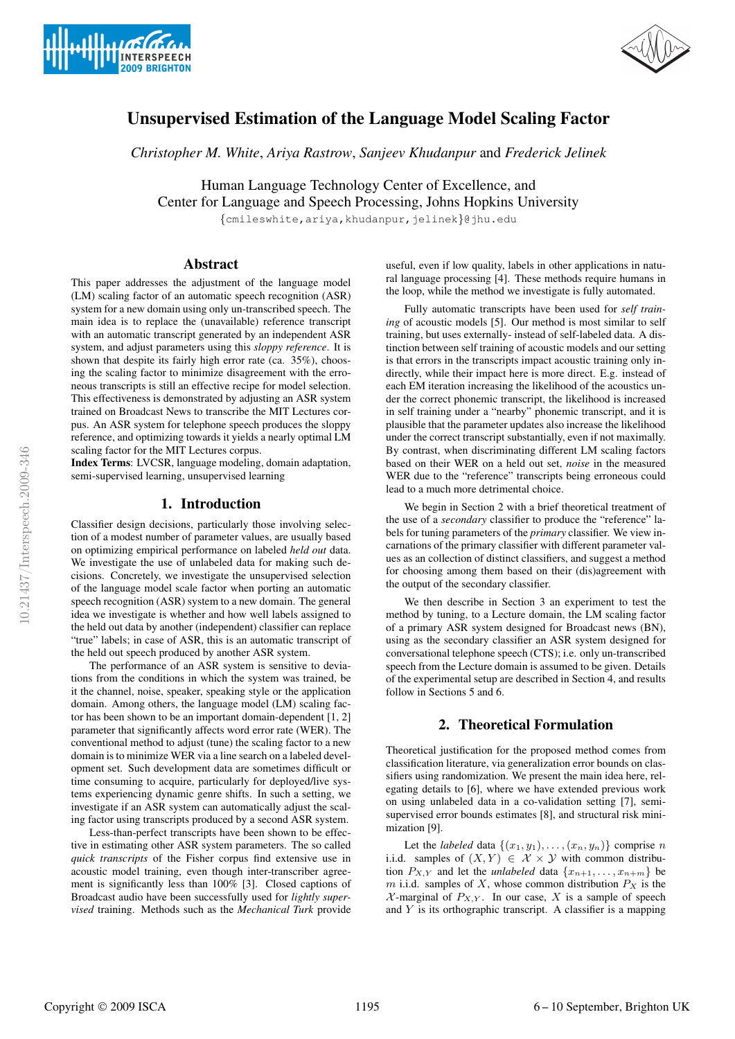



# Unsupervised Estimation of the Language Model Scaling Factor

*Christopher M. White*, *Ariya Rastrow*, *Sanjeev Khudanpur* and *Frederick Jelinek*

Human Language Technology Center of Excellence, and Center for Language and Speech Processing, Johns Hopkins University

{cmileswhite,ariya,khudanpur,jelinek}@jhu.edu

#### Abstract

This paper addresses the adjustment of the language model (LM) scaling factor of an automatic speech recognition (ASR) system for a new domain using only un-transcribed speech. The main idea is to replace the (unavailable) reference transcript with an automatic transcript generated by an independent ASR system, and adjust parameters using this *sloppy reference*. It is shown that despite its fairly high error rate (ca. 35%), choosing the scaling factor to minimize disagreement with the erroneous transcripts is still an effective recipe for model selection. This effectiveness is demonstrated by adjusting an ASR system trained on Broadcast News to transcribe the MIT Lectures corpus. An ASR system for telephone speech produces the sloppy reference, and optimizing towards it yields a nearly optimal LM scaling factor for the MIT Lectures corpus.

Index Terms: LVCSR, language modeling, domain adaptation, semi-supervised learning, unsupervised learning

#### 1. Introduction

Classifier design decisions, particularly those involving selection of a modest number of parameter values, are usually based on optimizing empirical performance on labeled *held out* data. We investigate the use of unlabeled data for making such decisions. Concretely, we investigate the unsupervised selection of the language model scale factor when porting an automatic speech recognition (ASR) system to a new domain. The general idea we investigate is whether and how well labels assigned to the held out data by another (independent) classifier can replace "true" labels; in case of ASR, this is an automatic transcript of the held out speech produced by another ASR system.

The performance of an ASR system is sensitive to deviations from the conditions in which the system was trained, be it the channel, noise, speaker, speaking style or the application domain. Among others, the language model (LM) scaling factor has been shown to be an important domain-dependent [1, 2] parameter that significantly affects word error rate (WER). The conventional method to adjust (tune) the scaling factor to a new domain is to minimize WER via a line search on a labeled development set. Such development data are sometimes difficult or time consuming to acquire, particularly for deployed/live systems experiencing dynamic genre shifts. In such a setting, we investigate if an ASR system can automatically adjust the scaling factor using transcripts produced by a second ASR system.

Less-than-perfect transcripts have been shown to be effective in estimating other ASR system parameters. The so called *quick transcripts* of the Fisher corpus find extensive use in acoustic model training, even though inter-transcriber agreement is significantly less than 100% [3]. Closed captions of Broadcast audio have been successfully used for *lightly supervised* training. Methods such as the *Mechanical Turk* provide useful, even if low quality, labels in other applications in natural language processing [4]. These methods require humans in the loop, while the method we investigate is fully automated.

Fully automatic transcripts have been used for *self training* of acoustic models [5]. Our method is most similar to self training, but uses externally- instead of self-labeled data. A distinction between self training of acoustic models and our setting is that errors in the transcripts impact acoustic training only indirectly, while their impact here is more direct. E.g. instead of each EM iteration increasing the likelihood of the acoustics under the correct phonemic transcript, the likelihood is increased in self training under a "nearby" phonemic transcript, and it is plausible that the parameter updates also increase the likelihood under the correct transcript substantially, even if not maximally. By contrast, when discriminating different LM scaling factors based on their WER on a held out set, *noise* in the measured WER due to the "reference" transcripts being erroneous could lead to a much more detrimental choice.

We begin in Section 2 with a brief theoretical treatment of the use of a *secondary* classifier to produce the "reference" labels for tuning parameters of the *primary* classifier. We view incarnations of the primary classifier with different parameter values as an collection of distinct classifiers, and suggest a method for choosing among them based on their (dis)agreement with the output of the secondary classifier.

We then describe in Section 3 an experiment to test the method by tuning, to a Lecture domain, the LM scaling factor of a primary ASR system designed for Broadcast news (BN), using as the secondary classifier an ASR system designed for conversational telephone speech (CTS); i.e. only un-transcribed speech from the Lecture domain is assumed to be given. Details of the experimental setup are described in Section 4, and results follow in Sections 5 and 6.

## 2. Theoretical Formulation

Theoretical justification for the proposed method comes from classification literature, via generalization error bounds on classifiers using randomization. We present the main idea here, relegating details to [6], where we have extended previous work on using unlabeled data in a co-validation setting [7], semisupervised error bounds estimates [8], and structural risk minimization [9].

Let the *labeled* data  $\{(x_1, y_1), \ldots, (x_n, y_n)\}$  comprise n i.i.d. samples of  $(X, Y) \in \mathcal{X} \times \mathcal{Y}$  with common distribution  $P_{X,Y}$  and let the *unlabeled* data  $\{x_{n+1}, \ldots, x_{n+m}\}\)$  be m i.i.d. samples of X, whose common distribution  $P_X$  is the  $\mathcal{X}$ -marginal of  $P_{X,Y}$ . In our case, X is a sample of speech and  $Y$  is its orthographic transcript. A classifier is a mapping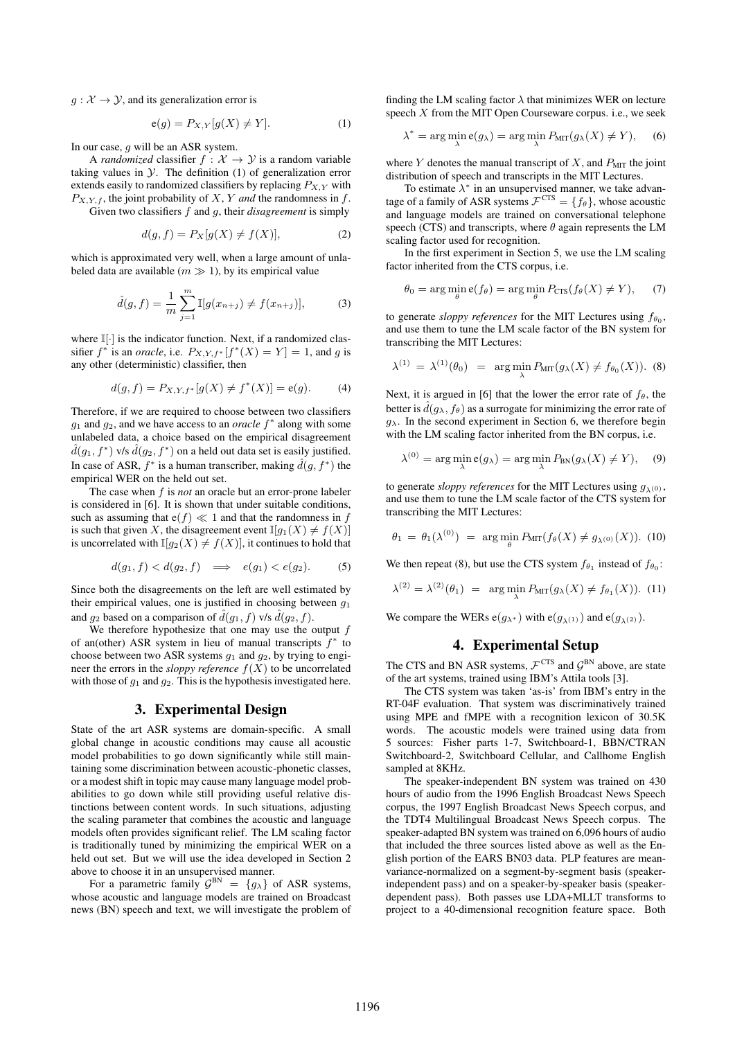$g: \mathcal{X} \to \mathcal{Y}$ , and its generalization error is

$$
e(g) = P_{X,Y}[g(X) \neq Y].
$$
 (1)

In our case,  $g$  will be an ASR system.

A *randomized* classifier  $f : \mathcal{X} \to \mathcal{Y}$  is a random variable taking values in  $\mathcal{Y}$ . The definition (1) of generalization error extends easily to randomized classifiers by replacing  $P_{X,Y}$  with  $P_{X,Y,f}$ , the joint probability of X, Y *and* the randomness in f. Given two classifiers f and g, their *disagreement* is simply

$$
d(g, f) = P_X[g(X) \neq f(X)],\tag{2}
$$

which is approximated very well, when a large amount of unlabeled data are available ( $m \gg 1$ ), by its empirical value

$$
\hat{d}(g, f) = \frac{1}{m} \sum_{j=1}^{m} \mathbb{I}[g(x_{n+j}) \neq f(x_{n+j})],
$$
 (3)

where  $\mathbb{I}[\cdot]$  is the indicator function. Next, if a randomized classifier  $f^*$  is an *oracle*, i.e.  $P_{X,Y,f^*}[f^*(X) = Y] = 1$ , and g is any other (deterministic) classifier, then

$$
d(g, f) = P_{X, Y, f^*}[g(X) \neq f^*(X)] = e(g). \tag{4}
$$

Therefore, if we are required to choose between two classifiers  $g_1$  and  $g_2$ , and we have access to an *oracle*  $f^*$  along with some unlabeled data, a choice based on the empirical disagreement  $\hat{d}(g_1, f^*)$  v/s  $\hat{d}(g_2, f^*)$  on a held out data set is easily justified. In case of ASR,  $f^*$  is a human transcriber, making  $\hat{d}(g, f^*)$  the empirical WER on the held out set.

The case when f is *not* an oracle but an error-prone labeler is considered in [6]. It is shown that under suitable conditions, such as assuming that  $e(f) \ll 1$  and that the randomness in f is such that given X, the disagreement event  $\mathbb{I}[g_1(X) \neq f(X)]$ is uncorrelated with  $\mathbb{I}[g_2(X) \neq f(X)]$ , it continues to hold that

$$
d(g_1, f) < d(g_2, f) \quad \Longrightarrow \quad e(g_1) < e(g_2). \tag{5}
$$

Since both the disagreements on the left are well estimated by their empirical values, one is justified in choosing between  $q_1$ and  $g_2$  based on a comparison of  $\hat{d}(g_1, f)$  v/s  $\hat{d}(g_2, f)$ .

We therefore hypothesize that one may use the output  $f$ of an(other) ASR system in lieu of manual transcripts  $f^*$  to choose between two ASR systems  $g_1$  and  $g_2$ , by trying to engineer the errors in the *sloppy reference*  $f(X)$  to be uncorrelated with those of  $g_1$  and  $g_2$ . This is the hypothesis investigated here.

#### 3. Experimental Design

State of the art ASR systems are domain-specific. A small global change in acoustic conditions may cause all acoustic model probabilities to go down significantly while still maintaining some discrimination between acoustic-phonetic classes, or a modest shift in topic may cause many language model probabilities to go down while still providing useful relative distinctions between content words. In such situations, adjusting the scaling parameter that combines the acoustic and language models often provides significant relief. The LM scaling factor is traditionally tuned by minimizing the empirical WER on a held out set. But we will use the idea developed in Section 2 above to choose it in an unsupervised manner.

For a parametric family  $G^{BN} = \{g_{\lambda}\}\$  of ASR systems, whose acoustic and language models are trained on Broadcast news (BN) speech and text, we will investigate the problem of finding the LM scaling factor  $\lambda$  that minimizes WER on lecture speech  $X$  from the MIT Open Courseware corpus. i.e., we seek

$$
\lambda^* = \arg\min_{\lambda} e(g_{\lambda}) = \arg\min_{\lambda} P_{\text{MIT}}(g_{\lambda}(X) \neq Y), \quad (6)
$$

where Y denotes the manual transcript of  $X$ , and  $P_{\text{MIT}}$  the joint distribution of speech and transcripts in the MIT Lectures.

To estimate  $\lambda^*$  in an unsupervised manner, we take advantage of a family of ASR systems  $\mathcal{F}^{\text{CTS}} = \{f_\theta\}$ , whose acoustic and language models are trained on conversational telephone speech (CTS) and transcripts, where  $\theta$  again represents the LM scaling factor used for recognition.

In the first experiment in Section 5, we use the LM scaling factor inherited from the CTS corpus, i.e.

$$
\theta_0 = \arg\min_{\theta} \mathbf{e}(f_{\theta}) = \arg\min_{\theta} P_{\text{CTS}}(f_{\theta}(X) \neq Y), \quad (7)
$$

to generate *sloppy references* for the MIT Lectures using  $f_{\theta_0}$ , and use them to tune the LM scale factor of the BN system for transcribing the MIT Lectures:

$$
\lambda^{(1)} = \lambda^{(1)}(\theta_0) = \arg\min_{\lambda} P_{\text{MIT}}(g_{\lambda}(X) \neq f_{\theta_0}(X)). \tag{8}
$$

Next, it is argued in [6] that the lower the error rate of  $f_\theta$ , the better is  $d(g_{\lambda}, f_{\theta})$  as a surrogate for minimizing the error rate of  $g_{\lambda}$ . In the second experiment in Section 6, we therefore begin with the LM scaling factor inherited from the BN corpus, i.e.

$$
\lambda^{(0)} = \arg\min_{\lambda} \mathbf{e}(g_{\lambda}) = \arg\min_{\lambda} P_{\text{BN}}(g_{\lambda}(X) \neq Y), \quad (9)
$$

to generate *sloppy references* for the MIT Lectures using  $g_{\lambda(0)}$ , and use them to tune the LM scale factor of the CTS system for transcribing the MIT Lectures:

$$
\theta_1 = \theta_1(\lambda^{(0)}) = \arg\min_{\theta} P_{\text{MIT}}(f_{\theta}(X) \neq g_{\lambda^{(0)}}(X)).
$$
 (10)

We then repeat (8), but use the CTS system  $f_{\theta_1}$  instead of  $f_{\theta_0}$ :

$$
\lambda^{(2)} = \lambda^{(2)}(\theta_1) = \arg\min_{\lambda} P_{\text{MIT}}(g_{\lambda}(X) \neq f_{\theta_1}(X)). \tag{11}
$$

We compare the WERs  $e(g_{\lambda^*})$  with  $e(g_{\lambda(1)})$  and  $e(g_{\lambda(2)})$ .

## 4. Experimental Setup

The CTS and BN ASR systems,  $\mathcal{F}^{\text{CTS}}$  and  $\mathcal{G}^{\text{BN}}$  above, are state of the art systems, trained using IBM's Attila tools [3].

The CTS system was taken 'as-is' from IBM's entry in the RT-04F evaluation. That system was discriminatively trained using MPE and fMPE with a recognition lexicon of 30.5K words. The acoustic models were trained using data from 5 sources: Fisher parts 1-7, Switchboard-1, BBN/CTRAN Switchboard-2, Switchboard Cellular, and Callhome English sampled at 8KHz.

The speaker-independent BN system was trained on 430 hours of audio from the 1996 English Broadcast News Speech corpus, the 1997 English Broadcast News Speech corpus, and the TDT4 Multilingual Broadcast News Speech corpus. The speaker-adapted BN system was trained on 6,096 hours of audio that included the three sources listed above as well as the English portion of the EARS BN03 data. PLP features are meanvariance-normalized on a segment-by-segment basis (speakerindependent pass) and on a speaker-by-speaker basis (speakerdependent pass). Both passes use LDA+MLLT transforms to project to a 40-dimensional recognition feature space. Both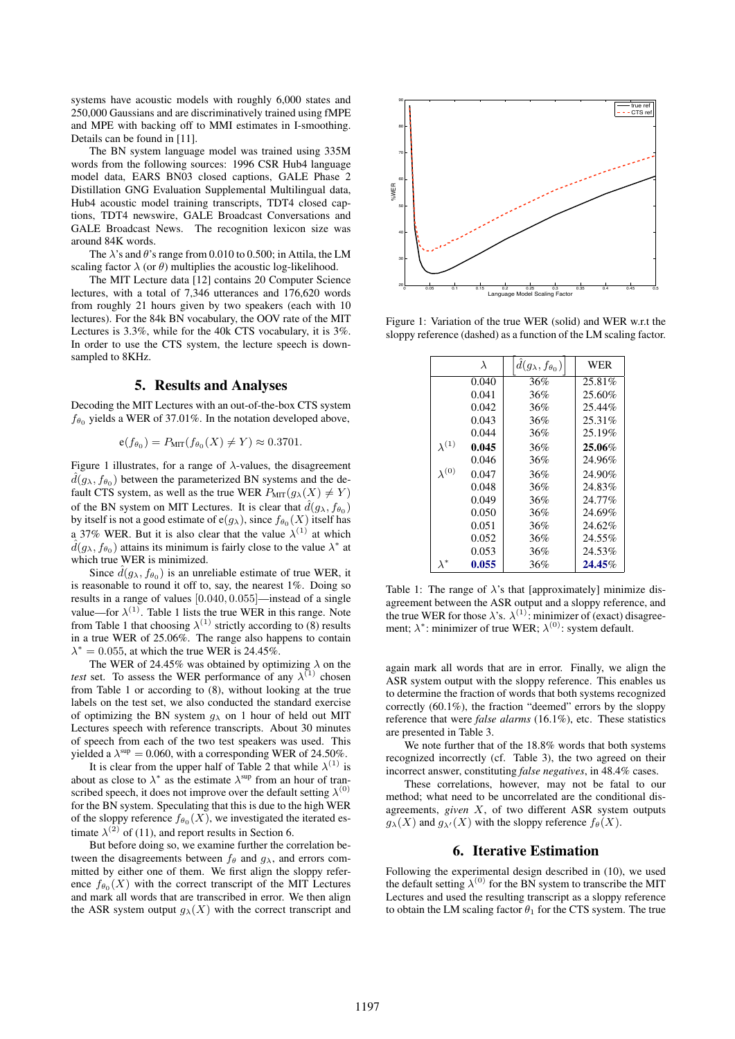systems have acoustic models with roughly 6,000 states and 250,000 Gaussians and are discriminatively trained using fMPE and MPE with backing off to MMI estimates in I-smoothing. Details can be found in [11].

The BN system language model was trained using 335M words from the following sources: 1996 CSR Hub4 language model data, EARS BN03 closed captions, GALE Phase 2 Distillation GNG Evaluation Supplemental Multilingual data, Hub4 acoustic model training transcripts, TDT4 closed captions, TDT4 newswire, GALE Broadcast Conversations and GALE Broadcast News. The recognition lexicon size was around 84K words.

The  $\lambda$ 's and  $\theta$ 's range from 0.010 to 0.500; in Attila, the LM scaling factor  $\lambda$  (or  $\theta$ ) multiplies the acoustic log-likelihood.

The MIT Lecture data [12] contains 20 Computer Science lectures, with a total of 7,346 utterances and 176,620 words from roughly 21 hours given by two speakers (each with 10 lectures). For the 84k BN vocabulary, the OOV rate of the MIT Lectures is 3.3%, while for the 40k CTS vocabulary, it is 3%. In order to use the CTS system, the lecture speech is downsampled to 8KHz.

#### 5. Results and Analyses

Decoding the MIT Lectures with an out-of-the-box CTS system  $f_{\theta_0}$  yields a WER of 37.01%. In the notation developed above,

$$
\mathsf{e}(f_{\theta_0}) = P_{\text{MIT}}(f_{\theta_0}(X) \neq Y) \approx 0.3701.
$$

Figure 1 illustrates, for a range of  $\lambda$ -values, the disagreement  $\hat{d}(g_{\lambda}, f_{\theta_0})$  between the parameterized BN systems and the default CTS system, as well as the true WER  $P_{\text{MIT}}(g_{\lambda}(X) \neq Y)$ of the BN system on MIT Lectures. It is clear that  $\hat{d}(g_{\lambda}, f_{\theta_0})$ by itself is not a good estimate of  $e(g_\lambda)$ , since  $f_{\theta_0}(X)$  itself has a 37% WER. But it is also clear that the value  $\lambda^{(1)}$  at which  $\hat{d}(g_{\lambda}, f_{\theta_0})$  attains its minimum is fairly close to the value  $\lambda^*$  at which true WER is minimized.

Since  $\hat{d}(g_{\lambda}, f_{\theta_0})$  is an unreliable estimate of true WER, it is reasonable to round it off to, say, the nearest 1%. Doing so results in a range of values [0.040, 0.055]—instead of a single value—for  $\lambda^{(1)}$ . Table 1 lists the true WER in this range. Note from Table 1 that choosing  $\lambda^{(1)}$  strictly according to (8) results in a true WER of 25.06%. The range also happens to contain  $\lambda^* = 0.055$ , at which the true WER is 24.45%.

The WER of 24.45% was obtained by optimizing  $\lambda$  on the *test* set. To assess the WER performance of any  $\lambda^{(1)}$  chosen from Table 1 or according to (8), without looking at the true labels on the test set, we also conducted the standard exercise of optimizing the BN system  $g_{\lambda}$  on 1 hour of held out MIT Lectures speech with reference transcripts. About 30 minutes of speech from each of the two test speakers was used. This yielded a  $\lambda^{\text{sup}} = 0.060$ , with a corresponding WER of 24.50%.

It is clear from the upper half of Table 2 that while  $\lambda^{(1)}$  is about as close to  $\lambda^*$  as the estimate  $\lambda^{\text{sup}}$  from an hour of transcribed speech, it does not improve over the default setting  $\lambda^{(0)}$ for the BN system. Speculating that this is due to the high WER of the sloppy reference  $f_{\theta_0}(X)$ , we investigated the iterated estimate  $\lambda^{(2)}$  of (11), and report results in Section 6.

But before doing so, we examine further the correlation between the disagreements between  $f_{\theta}$  and  $q_{\lambda}$ , and errors committed by either one of them. We first align the sloppy reference  $f_{\theta_0}(X)$  with the correct transcript of the MIT Lectures and mark all words that are transcribed in error. We then align the ASR system output  $g_{\lambda}(X)$  with the correct transcript and



Figure 1: Variation of the true WER (solid) and WER w.r.t the sloppy reference (dashed) as a function of the LM scaling factor.

|                 | $\lambda$ | $d(g_{\lambda}, f_{\theta_0})$ | WER    |
|-----------------|-----------|--------------------------------|--------|
|                 | 0.040     | 36%                            | 25.81% |
|                 | 0.041     | 36%                            | 25.60% |
|                 | 0.042     | 36%                            | 25.44% |
|                 | 0.043     | 36%                            | 25.31% |
|                 | 0.044     | 36%                            | 25.19% |
| $\lambda^{(1)}$ | 0.045     | 36%                            | 25.06% |
|                 | 0.046     | 36%                            | 24.96% |
| $\lambda^{(0)}$ | 0.047     | 36%                            | 24.90% |
|                 | 0.048     | 36%                            | 24.83% |
|                 | 0.049     | 36%                            | 24.77% |
|                 | 0.050     | 36%                            | 24.69% |
|                 | 0.051     | 36%                            | 24.62% |
|                 | 0.052     | 36%                            | 24.55% |
|                 | 0.053     | 36%                            | 24.53% |
| $\lambda^*$     | 0.055     | 36%                            | 24.45% |

Table 1: The range of  $\lambda$ 's that [approximately] minimize disagreement between the ASR output and a sloppy reference, and the true WER for those  $\lambda$ 's.  $\lambda^{(1)}$ : minimizer of (exact) disagreement;  $\lambda^*$ : minimizer of true WER;  $\lambda^{(0)}$ : system default.

again mark all words that are in error. Finally, we align the ASR system output with the sloppy reference. This enables us to determine the fraction of words that both systems recognized correctly (60.1%), the fraction "deemed" errors by the sloppy reference that were *false alarms* (16.1%), etc. These statistics are presented in Table 3.

We note further that of the 18.8% words that both systems recognized incorrectly (cf. Table 3), the two agreed on their incorrect answer, constituting *false negatives*, in 48.4% cases.

These correlations, however, may not be fatal to our method; what need to be uncorrelated are the conditional disagreements, *given* X, of two different ASR system outputs  $g_{\lambda}(X)$  and  $g_{\lambda}(X)$  with the sloppy reference  $f_{\theta}(X)$ .

#### 6. Iterative Estimation

Following the experimental design described in (10), we used the default setting  $\lambda^{(0)}$  for the BN system to transcribe the MIT Lectures and used the resulting transcript as a sloppy reference to obtain the LM scaling factor  $\theta_1$  for the CTS system. The true